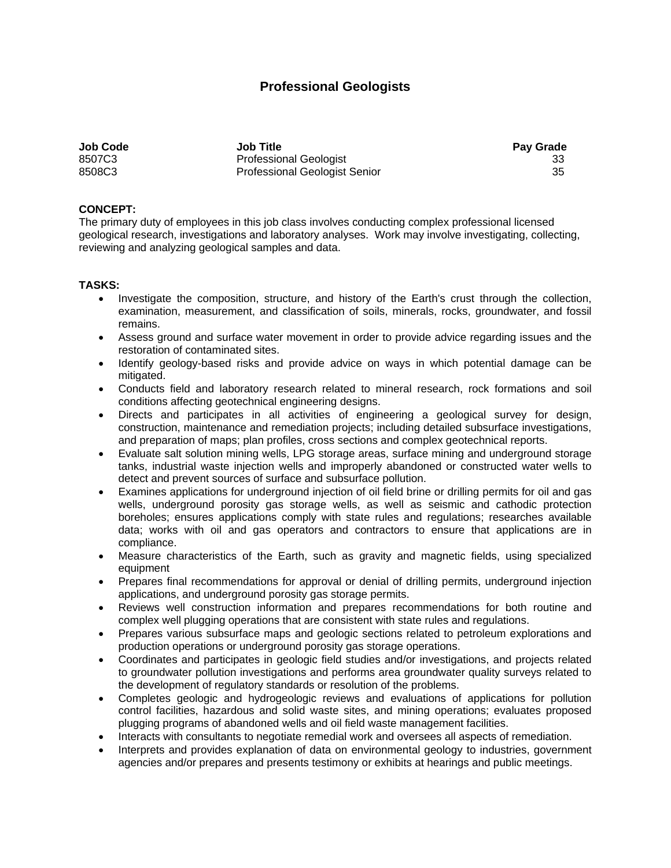## **Professional Geologists**

| <b>Job Code</b> | <b>Job Title</b>                     | <b>Pay Grade</b> |
|-----------------|--------------------------------------|------------------|
| 8507C3          | <b>Professional Geologist</b>        | 33               |
| 8508C3          | <b>Professional Geologist Senior</b> | 35               |

## **CONCEPT:**

The primary duty of employees in this job class involves conducting complex professional licensed geological research, investigations and laboratory analyses. Work may involve investigating, collecting, reviewing and analyzing geological samples and data.

## **TASKS:**

- Investigate the composition, structure, and history of the Earth's crust through the collection, examination, measurement, and classification of soils, minerals, rocks, groundwater, and fossil remains.
- Assess ground and surface water movement in order to provide advice regarding issues and the restoration of contaminated sites.
- Identify geology-based risks and provide advice on ways in which potential damage can be mitigated.
- Conducts field and laboratory research related to mineral research, rock formations and soil conditions affecting geotechnical engineering designs.
- Directs and participates in all activities of engineering a geological survey for design, construction, maintenance and remediation projects; including detailed subsurface investigations, and preparation of maps; plan profiles, cross sections and complex geotechnical reports.
- Evaluate salt solution mining wells, LPG storage areas, surface mining and underground storage tanks, industrial waste injection wells and improperly abandoned or constructed water wells to detect and prevent sources of surface and subsurface pollution.
- Examines applications for underground injection of oil field brine or drilling permits for oil and gas wells, underground porosity gas storage wells, as well as seismic and cathodic protection boreholes; ensures applications comply with state rules and regulations; researches available data; works with oil and gas operators and contractors to ensure that applications are in compliance.
- Measure characteristics of the Earth, such as gravity and magnetic fields, using specialized equipment
- Prepares final recommendations for approval or denial of drilling permits, underground injection applications, and underground porosity gas storage permits.
- Reviews well construction information and prepares recommendations for both routine and complex well plugging operations that are consistent with state rules and regulations.
- Prepares various subsurface maps and geologic sections related to petroleum explorations and production operations or underground porosity gas storage operations.
- Coordinates and participates in geologic field studies and/or investigations, and projects related to groundwater pollution investigations and performs area groundwater quality surveys related to the development of regulatory standards or resolution of the problems.
- Completes geologic and hydrogeologic reviews and evaluations of applications for pollution control facilities, hazardous and solid waste sites, and mining operations; evaluates proposed plugging programs of abandoned wells and oil field waste management facilities.
- Interacts with consultants to negotiate remedial work and oversees all aspects of remediation.
- Interprets and provides explanation of data on environmental geology to industries, government agencies and/or prepares and presents testimony or exhibits at hearings and public meetings.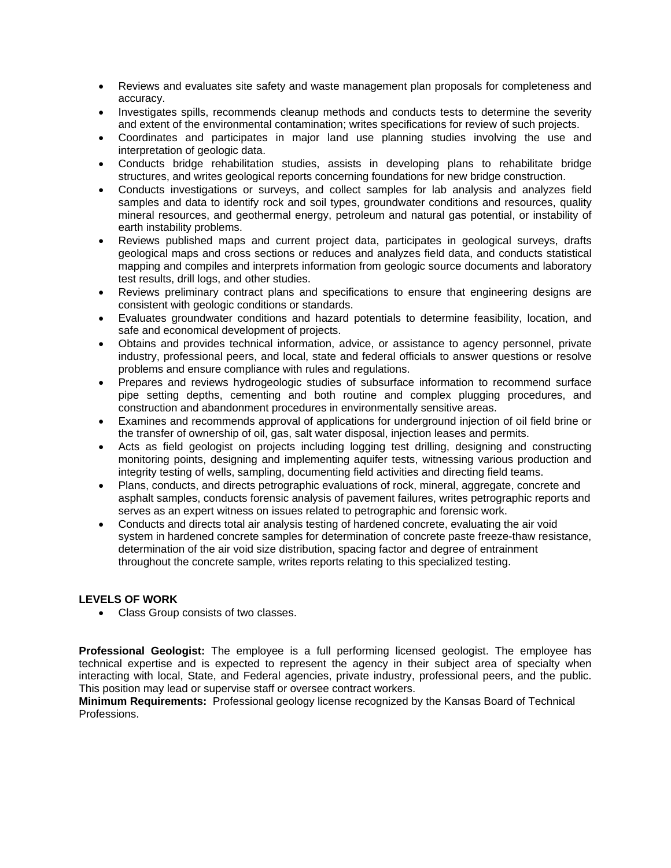- Reviews and evaluates site safety and waste management plan proposals for completeness and accuracy.
- Investigates spills, recommends cleanup methods and conducts tests to determine the severity and extent of the environmental contamination; writes specifications for review of such projects.
- Coordinates and participates in major land use planning studies involving the use and interpretation of geologic data.
- Conducts bridge rehabilitation studies, assists in developing plans to rehabilitate bridge structures, and writes geological reports concerning foundations for new bridge construction.
- Conducts investigations or surveys, and collect samples for lab analysis and analyzes field samples and data to identify rock and soil types, groundwater conditions and resources, quality mineral resources, and geothermal energy, petroleum and natural gas potential, or instability of earth instability problems.
- Reviews published maps and current project data, participates in geological surveys, drafts geological maps and cross sections or reduces and analyzes field data, and conducts statistical mapping and compiles and interprets information from geologic source documents and laboratory test results, drill logs, and other studies.
- Reviews preliminary contract plans and specifications to ensure that engineering designs are consistent with geologic conditions or standards.
- Evaluates groundwater conditions and hazard potentials to determine feasibility, location, and safe and economical development of projects.
- Obtains and provides technical information, advice, or assistance to agency personnel, private industry, professional peers, and local, state and federal officials to answer questions or resolve problems and ensure compliance with rules and regulations.
- Prepares and reviews hydrogeologic studies of subsurface information to recommend surface pipe setting depths, cementing and both routine and complex plugging procedures, and construction and abandonment procedures in environmentally sensitive areas.
- Examines and recommends approval of applications for underground injection of oil field brine or the transfer of ownership of oil, gas, salt water disposal, injection leases and permits.
- Acts as field geologist on projects including logging test drilling, designing and constructing monitoring points, designing and implementing aquifer tests, witnessing various production and integrity testing of wells, sampling, documenting field activities and directing field teams.
- Plans, conducts, and directs petrographic evaluations of rock, mineral, aggregate, concrete and asphalt samples, conducts forensic analysis of pavement failures, writes petrographic reports and serves as an expert witness on issues related to petrographic and forensic work.
- Conducts and directs total air analysis testing of hardened concrete, evaluating the air void system in hardened concrete samples for determination of concrete paste freeze-thaw resistance, determination of the air void size distribution, spacing factor and degree of entrainment throughout the concrete sample, writes reports relating to this specialized testing.

## **LEVELS OF WORK**

• Class Group consists of two classes.

**Professional Geologist:** The employee is a full performing licensed geologist. The employee has technical expertise and is expected to represent the agency in their subject area of specialty when interacting with local, State, and Federal agencies, private industry, professional peers, and the public. This position may lead or supervise staff or oversee contract workers.

**Minimum Requirements:** Professional geology license recognized by the Kansas Board of Technical Professions.